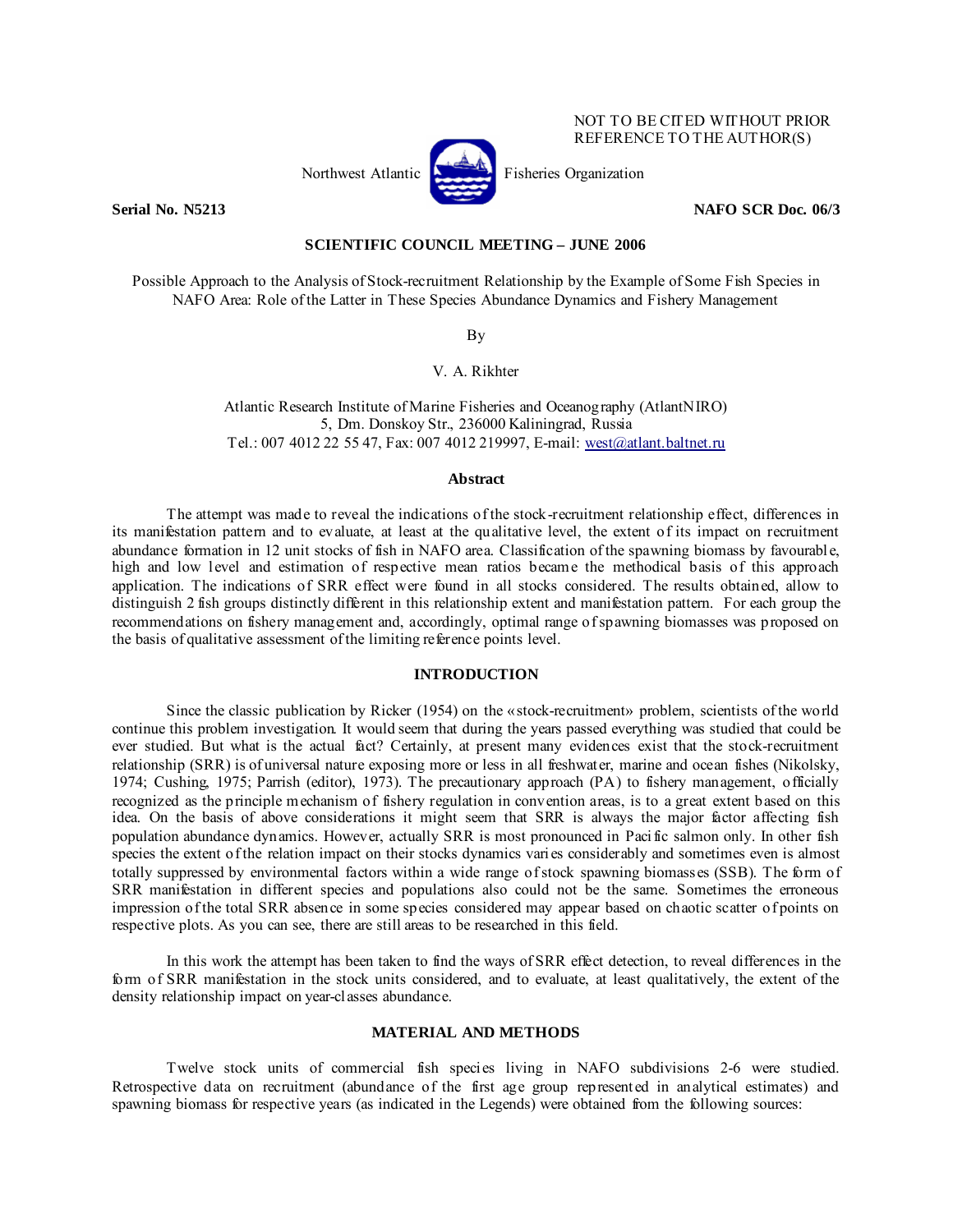

NOT TO BE CITED WITHOUT PRIOR REFERENCE TO THE AUTHOR(S)

## **Serial No. N5213 NAFO SCR Doc. 06/3**

## **SCIENTIFIC COUNCIL MEETING – JUNE 2006**

Possible Approach to the Analysis of Stock-recruitment Relationship by the Example of Some Fish Species in NAFO Area: Role of the Latter in These Species Abundance Dynamics and Fishery Management

By

V. A. Rikhter

Atlantic Research Institute of Marine Fisheries and Oceanography (AtlantNIRO) 5, Dm. Donskoy Str., 236000 Kaliningrad, Russia Tel.: 007 4012 22 55 47, Fax: 007 4012 219997, E-mail: west@atlant.baltnet.ru

#### **Abstract**

The attempt was made to reveal the indications of the stock-recruitment relationship effect, differences in its manifestation pattern and to evaluate, at least at the qualitative level, the extent of its impact on recruitment abundance formation in 12 unit stocks of fish in NAFO area. Classification of the spawning biomass by favourable, high and low level and estimation of respective mean ratios became the methodical basis of this approach application. The indications of SRR effect were found in all stocks considered. The results obtained, allow to distinguish 2 fish groups distinctly different in this relationship extent and manifestation pattern. For each group the recommendations on fishery management and, accordingly, optimal range of spawning biomasses was proposed on the basis of qualitative assessment of the limiting reference points level.

# **INTRODUCTION**

 Since the classic publication by Ricker (1954) on the «stock-recruitment» problem, scientists of the world continue this problem investigation. It would seem that during the years passed everything was studied that could be ever studied. But what is the actual fact? Certainly, at present many evidences exist that the stock-recruitment relationship (SRR) is of universal nature exposing more or less in all freshwater, marine and ocean fishes (Nikolsky, 1974; Cushing, 1975; Parrish (editor), 1973). The precautionary approach (PA) to fishery management, officially recognized as the principle mechanism of fishery regulation in convention areas, is to a great extent based on this idea. On the basis of above considerations it might seem that SRR is always the major factor affecting fish population abundance dynamics. However, actually SRR is most pronounced in Pacific salmon only. In other fish species the extent of the relation impact on their stocks dynamics varies considerably and sometimes even is almost totally suppressed by environmental factors within a wide range of stock spawning biomasses (SSB). The form of SRR manifestation in different species and populations also could not be the same. Sometimes the erroneous impression of the total SRR absence in some species considered may appear based on chaotic scatter of points on respective plots. As you can see, there are still areas to be researched in this field.

 In this work the attempt has been taken to find the ways of SRR effect detection, to reveal differences in the form of SRR manifestation in the stock units considered, and to evaluate, at least qualitatively, the extent of the density relationship impact on year-classes abundance.

## **MATERIAL AND METHODS**

 Twelve stock units of commercial fish species living in NAFO subdivisions 2-6 were studied. Retrospective data on recruitment (abundance of the first age group represented in analytical estimates) and spawning biomass for respective years (as indicated in the Legends) were obtained from the following sources: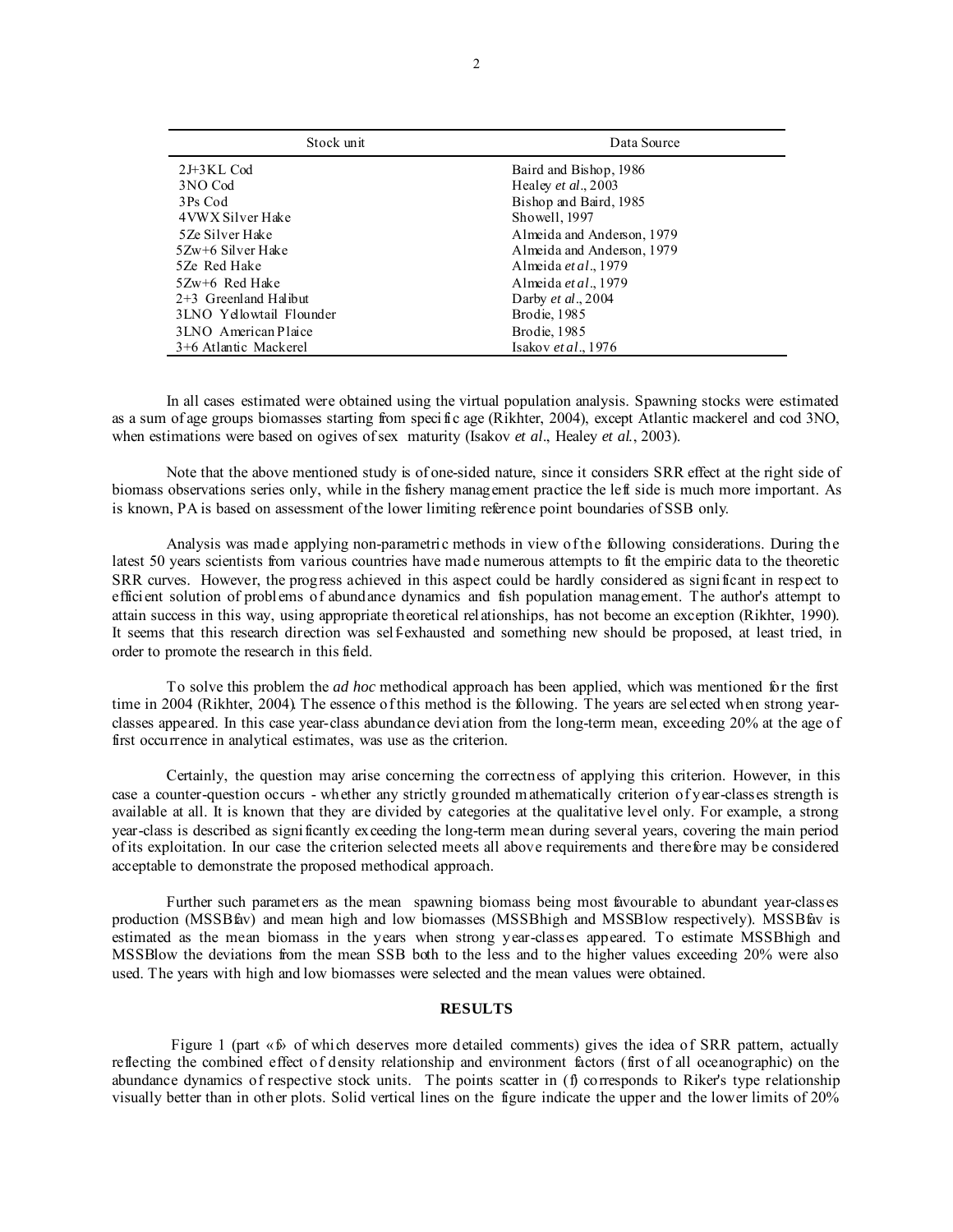| Stock unit               | Data Source                 |
|--------------------------|-----------------------------|
| $2J+3KL$ Cod             | Baird and Bishop, 1986      |
| 3NO Cod                  | Healey et al., 2003         |
| 3Ps Cod                  | Bishop and Baird, 1985      |
| 4 VWX Silver Hake        | Showell, 1997               |
| 57e Silver Hake          | Almeida and Anderson, 1979  |
| 5Zw+6 Silver Hake        | Almeida and Anderson, 1979  |
| 5Ze Red Hake             | Almeida et al., 1979        |
| 5Zw+6 Red Hake           | Almeida et al., 1979        |
| $2+3$ Greenland Halibut  | Darby <i>et al.</i> , 2004  |
| 3LNO Yellowtail Flounder | <b>Brodie</b> , 1985        |
| 3LNO American Plaice     | Brodie, 1985                |
| 3+6 Atlantic Mackerel    | Isakov <i>et al.</i> , 1976 |

 In all cases estimated were obtained using the virtual population analysis. Spawning stocks were estimated as a sum of age groups biomasses starting from specific age (Rikhter, 2004), except Atlantic mackerel and cod 3NO, when estimations were based on ogives of sex maturity (Isakov *et al*., Healey *et al*., 2003).

 Note that the above mentioned study is of one-sided nature, since it considers SRR effect at the right side of biomass observations series only, while in the fishery management practice the left side is much more important. As is known, PA is based on assessment of the lower limiting reference point boundaries of SSB only.

 Analysis was made applying non-parametric methods in view of the following considerations. During the latest 50 years scientists from various countries have made numerous attempts to fit the empiric data to the theoretic SRR curves. However, the progress achieved in this aspect could be hardly considered as significant in respect to efficient solution of problems of abundance dynamics and fish population management. The author's attempt to attain success in this way, using appropriate theoretical relationships, has not become an exception (Rikhter, 1990). It seems that this research direction was self-exhausted and something new should be proposed, at least tried, in order to promote the research in this field.

 To solve this problem the *ad hoc* methodical approach has been applied, which was mentioned for the first time in 2004 (Rikhter, 2004). The essence of this method is the following. The years are selected when strong yearclasses appeared. In this case year-class abundance deviation from the long-term mean, exceeding 20% at the age of first occurrence in analytical estimates, was use as the criterion.

 Certainly, the question may arise concerning the correctness of applying this criterion. However, in this case a counter-question occurs - whether any strictly grounded mathematically criterion of year-classes strength is available at all. It is known that they are divided by categories at the qualitative level only. For example, a strong year-class is described as significantly exceeding the long-term mean during several years, covering the main period of its exploitation. In our case the criterion selected meets all above requirements and therefore may be considered acceptable to demonstrate the proposed methodical approach.

 Further such parameters as the mean spawning biomass being most favourable to abundant year-classes production (MSSBfav) and mean high and low biomasses (MSSBhigh and MSSBlow respectively). MSSBfav is estimated as the mean biomass in the years when strong year-classes appeared. To estimate MSSBhigh and MSSBlow the deviations from the mean SSB both to the less and to the higher values exceeding 20% were also used. The years with high and low biomasses were selected and the mean values were obtained.

#### **RESULTS**

Figure 1 (part « $\delta$ » of which deserves more detailed comments) gives the idea of SRR pattern, actually reflecting the combined effect of density relationship and environment factors (first of all oceanographic) on the abundance dynamics of respective stock units. The points scatter in (f) corresponds to Riker's type relationship visually better than in other plots. Solid vertical lines on the figure indicate the upper and the lower limits of 20%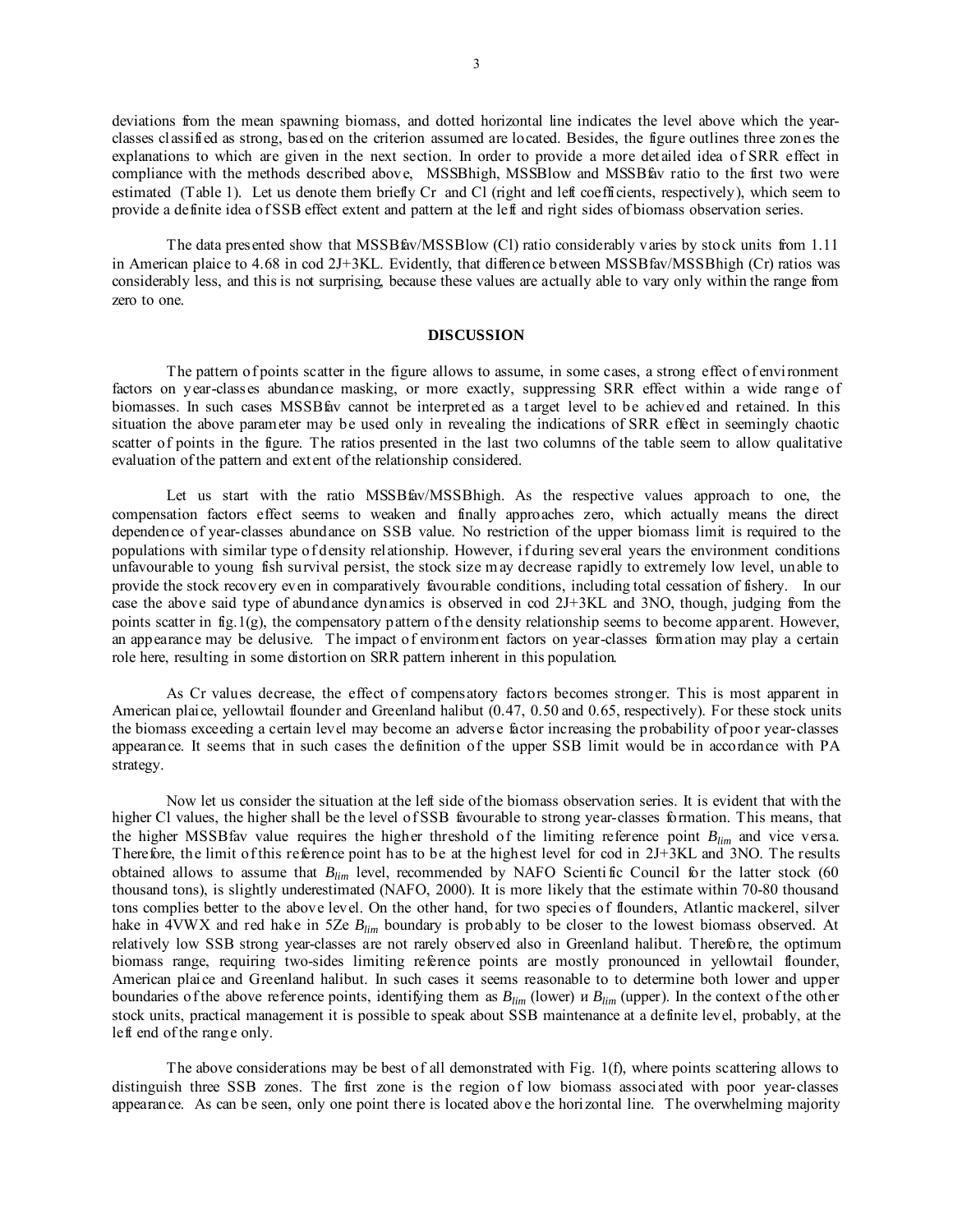deviations from the mean spawning biomass, and dotted horizontal line indicates the level above which the yearclasses classified as strong, based on the criterion assumed are located. Besides, the figure outlines three zones the explanations to which are given in the next section. In order to provide a more detailed idea of SRR effect in compliance with the methods described above, MSSBhigh, MSSBlow and MSSBfav ratio to the first two were estimated (Table 1). Let us denote them briefly Cr and Cl (right and left coefficients, respectively), which seem to provide a definite idea of SSB effect extent and pattern at the left and right sides of biomass observation series.

The data presented show that MSSBfav/MSSBlow (Cl) ratio considerably varies by stock units from 1.11 in American plaice to 4.68 in cod 2J+3KL. Evidently, that difference between MSSBfav/MSSBhigh (Cr) ratios was considerably less, and this is not surprising, because these values are actually able to vary only within the range from zero to one.

# **DISCUSSION**

 The pattern of points scatter in the figure allows to assume, in some cases, a strong effect of environment factors on year-classes abundance masking, or more exactly, suppressing SRR effect within a wide range of biomasses. In such cases MSSBfav cannot be interpreted as a target level to be achieved and retained. In this situation the above parameter may be used only in revealing the indications of SRR effect in seemingly chaotic scatter of points in the figure. The ratios presented in the last two columns of the table seem to allow qualitative evaluation of the pattern and extent of the relationship considered.

Let us start with the ratio MSSBfav/MSSBhigh. As the respective values approach to one, the compensation factors effect seems to weaken and finally approaches zero, which actually means the direct dependence of year-classes abundance on SSB value. No restriction of the upper biomass limit is required to the populations with similar type of density relationship. However, if during several years the environment conditions unfavourable to young fish survival persist, the stock size may decrease rapidly to extremely low level, unable to provide the stock recovery even in comparatively favourable conditions, including total cessation of fishery. In our case the above said type of abundance dynamics is observed in cod 2J+3KL and 3NO, though, judging from the points scatter in fig.1(g), the compensatory pattern of the density relationship seems to become apparent. However, an appearance may be delusive. The impact of environment factors on year-classes formation may play a certain role here, resulting in some distortion on SRR pattern inherent in this population.

 As Cr values decrease, the effect of compensatory factors becomes stronger. This is most apparent in American plaice, yellowtail flounder and Greenland halibut (0.47, 0.50 and 0.65, respectively). For these stock units the biomass exceeding a certain level may become an adverse factor increasing the probability of poor year-classes appearance. It seems that in such cases the definition of the upper SSB limit would be in accordance with PA strategy.

 Now let us consider the situation at the left side of the biomass observation series. It is evident that with the higher Cl values, the higher shall be the level of SSB favourable to strong year-classes formation. This means, that the higher MSSBfav value requires the higher threshold of the limiting reference point *Blim* and vice versa. Therefore, the limit of this reference point has to be at the highest level for cod in 2J+3KL and 3NO. The results obtained allows to assume that  $B_{lim}$  level, recommended by NAFO Scientific Council for the latter stock (60 thousand tons), is slightly underestimated (NAFO, 2000). It is more likely that the estimate within 70-80 thousand tons complies better to the above level. On the other hand, for two species of flounders, Atlantic mackerel, silver hake in 4VWX and red hake in 5Ze  $B_{lim}$  boundary is probably to be closer to the lowest biomass observed. At relatively low SSB strong year-classes are not rarely observed also in Greenland halibut. Therefore, the optimum biomass range, requiring two-sides limiting reference points are mostly pronounced in уellowtail flounder, American plaice and Greenland halibut. In such cases it seems reasonable to to determine both lower and upper boundaries of the above reference points, identifying them as *Blim* (lower) и *Blim* (upper). In the context of the other stock units, practical management it is possible to speak about SSB maintenance at a definite level, probably, at the left end of the range only.

 The above considerations may be best of all demonstrated with Fig. 1(f), where points scattering allows to distinguish three SSB zones. The first zone is the region of low biomass associated with poor year-classes appearance. As can be seen, only one point there is located above the horizontal line. The overwhelming majority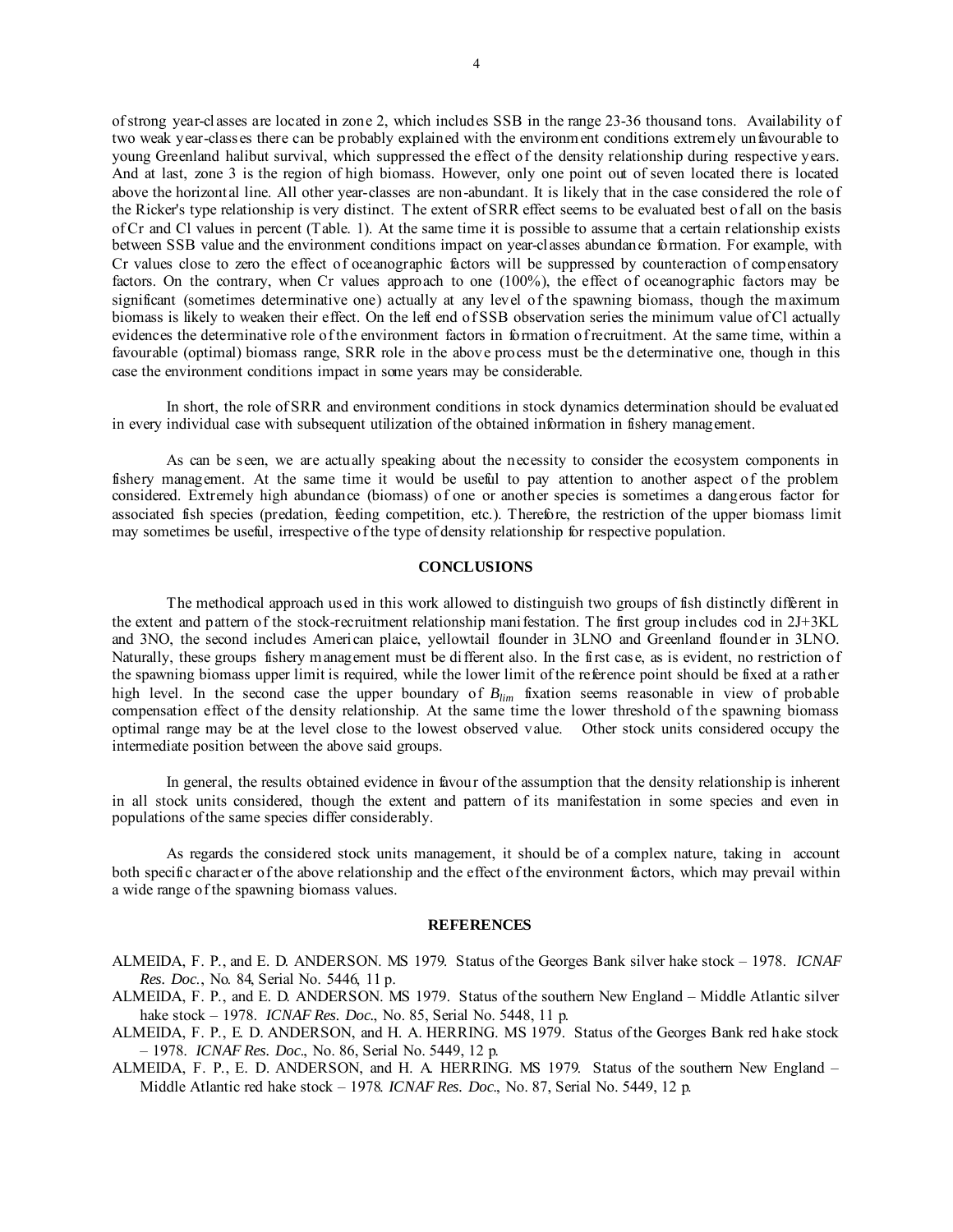of strong year-classes are located in zone 2, which includes SSB in the range 23-36 thousand tons. Availability of two weak year-classes there can be probably explained with the environment conditions extremely unfavourable to young Greenland halibut survival, which suppressed the effect of the density relationship during respective years. And at last, zone 3 is the region of high biomass. However, only one point out of seven located there is located above the horizontal line. All other year-classes are non-abundant. It is likely that in the case considered the role of the Ricker's type relationship is very distinct. The extent of SRR effect seems to be evaluated best of all on the basis of Cr and Cl values in percent (Table. 1). At the same time it is possible to assume that a certain relationship exists between SSB value and the environment conditions impact on year-classes abundance formation. For example, with Cr values close to zero the effect of oceanographic factors will be suppressed by counteraction of compensatory factors. On the contrary, when Cr values approach to one (100%), the effect of oceanographic factors may be significant (sometimes determinative one) actually at any level of the spawning biomass, though the maximum biomass is likely to weaken their effect. On the left end of SSB observation series the minimum value of Cl actually evidences the determinative role of the environment factors in formation of recruitment. At the same time, within a favourable (optimal) biomass range, SRR role in the above process must be the determinative one, though in this case the environment conditions impact in some years may be considerable.

 In short, the role of SRR and environment conditions in stock dynamics determination should be evaluated in every individual case with subsequent utilization of the obtained information in fishery management.

 As can be seen, we are actually speaking about the necessity to consider the ecosystem components in fishery management. At the same time it would be useful to pay attention to another aspect of the problem considered. Extremely high abundance (biomass) of one or another species is sometimes a dangerous factor for associated fish species (predation, feeding competition, etc.). Therefore, the restriction of the upper biomass limit may sometimes be useful, irrespective of the type of density relationship for respective population.

#### **CONCLUSIONS**

 The methodical approach used in this work allowed to distinguish two groups of fish distinctly different in the extent and pattern of the stock-recruitment relationship manifestation. The first group includes cod in 2J+3KL and 3NO, the second includes American plaice, yellowtail flounder in 3LNO and Greenland flounder in 3LNO. Naturally, these groups fishery management must be different also. In the first case, as is evident, no restriction of the spawning biomass upper limit is required, while the lower limit of the reference point should be fixed at a rather high level. In the second case the upper boundary of  $B_{lim}$  fixation seems reasonable in view of probable compensation effect of the density relationship. At the same time the lower threshold of the spawning biomass optimal range may be at the level close to the lowest observed value. Other stock units considered occupy the intermediate position between the above said groups.

 In general, the results obtained evidence in favour of the assumption that the density relationship is inherent in all stock units considered, though the extent and pattern of its manifestation in some species and even in populations of the same species differ considerably.

 As regards the considered stock units management, it should be of a complex nature, taking in account both specific character of the above relationship and the effect of the environment factors, which may prevail within a wide range of the spawning biomass values.

## **REFERENCES**

ALMEIDA, F. P., and E. D. ANDERSON. MS 1979. Status of the Georges Bank silver hake stock – 1978. *ICNAF Res. Doc*., No. 84, Serial No. 5446, 11 p.

ALMEIDA, F. P., and E. D. ANDERSON. MS 1979. Status of the southern New England – Middle Atlantic silver hake stock – 1978. *ICNAF Res. Doc.*, No. 85, Serial No. 5448, 11 p.

- ALMEIDA, F. P., E. D. ANDERSON, and H. A. HERRING. MS 1979. Status of the Georges Bank red hake stock – 1978. *ICNAF Res. Doc*., No. 86, Serial No. 5449, 12 p.
- ALMEIDA, F. P., E. D. ANDERSON, and H. A. HERRING. MS 1979. Status of the southern New England Middle Atlantic red hake stock – 1978. *ICNAF Res. Doc*., No. 87, Serial No. 5449, 12 p.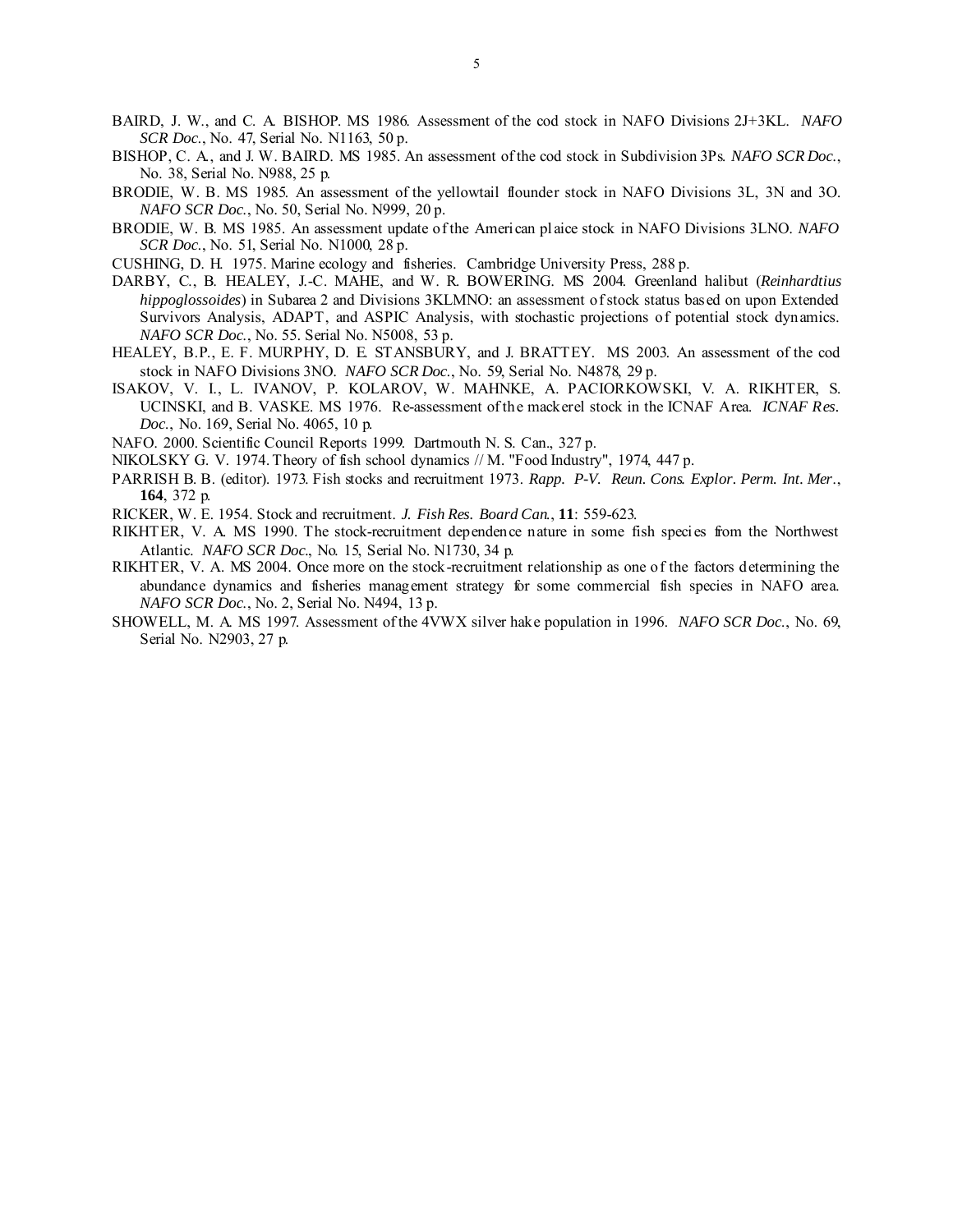- BAIRD, J. W., and C. A. BISHOP. MS 1986. Assessment of the cod stock in NAFO Divisions 2J+3KL. *NAFO SCR Doc*., No. 47, Serial No. N1163, 50 p.
- BISHOP, C. A., and J. W. BAIRD. MS 1985. An assessment of the cod stock in Subdivision 3Ps. *NAFO SCR Doc*., No. 38, Serial No. N988, 25 p.
- BRODIE, W. B. MS 1985. An assessment of the yellowtail flounder stock in NAFO Divisions 3L, 3N and 3O. *NAFO SCR Doc*., No. 50, Serial No. N999, 20 p.
- BRODIE, W. B. MS 1985. An assessment update of the American plaice stock in NAFO Divisions 3LNO. *NAFO SCR Doc*., No. 51, Serial No. N1000, 28 p.
- CUSHING, D. H. 1975. Marine ecology and fisheries. Cambridge University Press, 288 p.
- DARBY, C., B. HEALEY, J.-C. MAHE, and W. R. BOWERING. MS 2004. Greenland halibut (*Reinhardtius hippoglossoides*) in Subarea 2 and Divisions 3KLMNO: an assessment of stock status based on upon Extended Survivors Analysis, ADAPT, and ASPIC Analysis, with stochastic projections of potential stock dynamics. *NAFO SCR Doc*., No. 55. Serial No. N5008, 53 p.
- HEALEY, B.P., E. F. MURPHY, D. E. STANSBURY, and J. BRATTEY. MS 2003. An assessment of the cod stock in NAFO Divisions 3NO. *NAFO SCR Doc*., No. 59, Serial No. N4878, 29 p.
- ISAKOV, V. I., L. IVANOV, P. KOLAROV, W. MAHNKE, A. PACIORKOWSKI, V. A. RIKHTER, S. UCINSKI, and B. VASKE. MS 1976. Re-assessment of the mackerel stock in the ICNAF Area. *ICNAF Res. Doc*., No. 169, Serial No. 4065, 10 p.
- NAFO. 2000. Scientific Council Reports 1999. Dartmouth N. S. Can., 327 p.
- NIKOLSKY G. V. 1974. Theory of fish school dynamics // M. "Food Industry", 1974, 447 p.
- PARRISH B. B. (editor). 1973. Fish stocks and recruitment 1973. *Rapp. P-V. Reun. Cons. Explor. Perm. Int. Mer*., **164**, 372 p.
- RICKER, W. E. 1954. Stock and recruitment. *J. Fish Res. Board Can*., **11**: 559-623.
- RIKHTER, V. A. MS 1990. The stock-recruitment dependence nature in some fish species from the Northwest Atlantic. *NAFO SCR Doc*., No. 15, Serial No. N1730, 34 p.
- RIKHTER, V. A. MS 2004. Once more on the stock-recruitment relationship as one of the factors determining the abundance dynamics and fisheries management strategy for some commercial fish species in NAFO area. *NAFO SCR Doc*., No. 2, Serial No. N494, 13 p.
- SHOWELL, M. A. MS 1997. Assessment of the 4VWX silver hake population in 1996. *NAFO SCR Doc*., No. 69, Serial No. N2903, 27 p.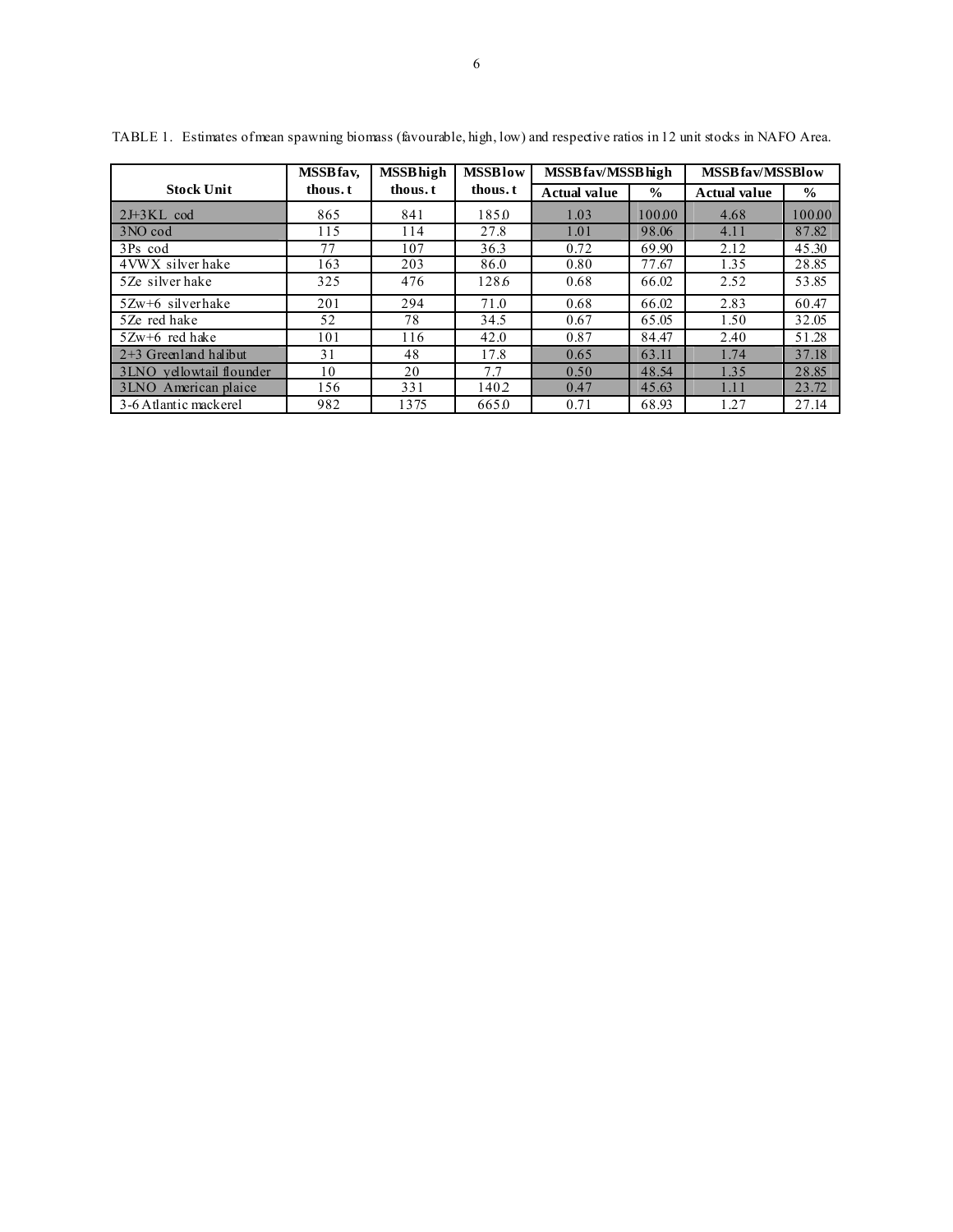|                          | MSSB fav. | <b>MSSB</b> high | <b>MSSBlow</b> | MSSB fav/MSSB high  |               | <b>MSSB fav/MSSBlow</b> |               |
|--------------------------|-----------|------------------|----------------|---------------------|---------------|-------------------------|---------------|
| <b>Stock Unit</b>        | thous, t  | thous. t         | thous, t       | <b>Actual value</b> | $\frac{0}{0}$ | <b>Actual value</b>     | $\frac{0}{0}$ |
| $2J+3KL$ cod             | 865       | 841              | 1850           | 1.03                | 10000         | 4.68                    | 10000         |
| 3NO cod                  | 115       | 114              | 27.8           | 1.01                | 98.06         | 4.11                    | 87.82         |
| 3Ps cod                  | 77        | 107              | 36.3           | 0.72                | 69.90         | 2.12                    | 45.30         |
| 4 VWX silver hake        | 163       | 203              | 86.0           | 0.80                | 77.67         | 1.35                    | 28.85         |
| 57e silver hake          | 325       | 476              | 128.6          | 0.68                | 66.02         | 2.52                    | 53.85         |
| $5Zw+6$ silverhake       | 201       | 294              | 71.0           | 0.68                | 66.02         | 2.83                    | 60.47         |
| 5Ze red hake             | 52        | 78               | 34.5           | 0.67                | 65.05         | 1.50                    | 32.05         |
| $5Zw+6$ red hake         | 101       | 116              | 42.0           | 0.87                | 84.47         | 2.40                    | 51.28         |
| $2+3$ Greenland halibut  | 31        | 48               | 17.8           | 0.65                | 63.11         | 1.74                    | 37.18         |
| 3LNO vellowtail flounder | 10        | 20               | 7.7            | 0.50                | 48.54         | 1.35                    | 28.85         |
| 3LNO American plaice     | 156       | 331              | 1402           | 0.47                | 45.63         | 1.11                    | 23.72         |
| 3-6 Atlantic mackerel    | 982       | 1375             | 665.0          | 0.71                | 68.93         | 1.27                    | 27.14         |

TABLE 1. Estimates of mean spawning biomass (favourable, high, low) and respective ratios in 12 unit stocks in NAFO Area.